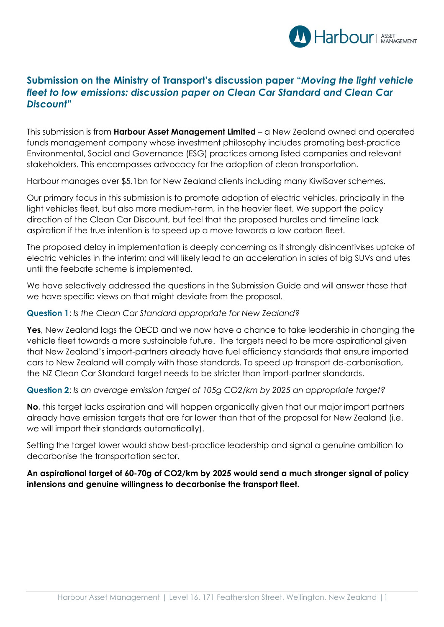

## **Submission on the Ministry of Transport's discussion paper "***Moving the light vehicle fleet to low emissions: discussion paper on Clean Car Standard and Clean Car Discount***"**

This submission is from **Harbour Asset Management Limited** – a New Zealand owned and operated funds management company whose investment philosophy includes promoting best-practice Environmental, Social and Governance (ESG) practices among listed companies and relevant stakeholders. This encompasses advocacy for the adoption of clean transportation.

Harbour manages over \$5.1bn for New Zealand clients including many KiwiSaver schemes.

Our primary focus in this submission is to promote adoption of electric vehicles, principally in the light vehicles fleet, but also more medium-term, in the heavier fleet. We support the policy direction of the Clean Car Discount, but feel that the proposed hurdles and timeline lack aspiration if the true intention is to speed up a move towards a low carbon fleet.

The proposed delay in implementation is deeply concerning as it strongly disincentivises uptake of electric vehicles in the interim; and will likely lead to an acceleration in sales of big SUVs and utes until the feebate scheme is implemented.

We have selectively addressed the questions in the Submission Guide and will answer those that we have specific views on that might deviate from the proposal.

#### **Question 1**: *Is the Clean Car Standard appropriate for New Zealand?*

**Yes**, New Zealand lags the OECD and we now have a chance to take leadership in changing the vehicle fleet towards a more sustainable future. The targets need to be more aspirational given that New Zealand's import-partners already have fuel efficiency standards that ensure imported cars to New Zealand will comply with those standards. To speed up transport de-carbonisation, the NZ Clean Car Standard target needs to be stricter than import-partner standards.

**Question 2**: *Is an average emission target of 105g CO2/km by 2025 an appropriate target?*

**No**, this target lacks aspiration and will happen organically given that our major import partners already have emission targets that are far lower than that of the proposal for New Zealand (i.e. we will import their standards automatically).

Setting the target lower would show best-practice leadership and signal a genuine ambition to decarbonise the transportation sector.

## **An aspirational target of 60-70g of CO2/km by 2025 would send a much stronger signal of policy intensions and genuine willingness to decarbonise the transport fleet.**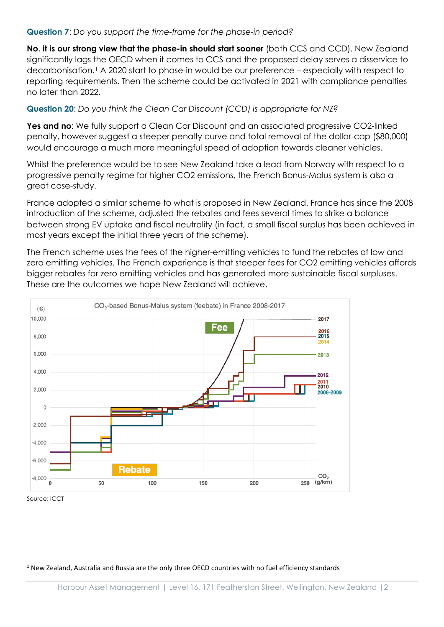## **Question 7**: *Do you support the time-frame for the phase-in period?*

**No**, **it is our strong view that the phase-in should start sooner** (both CCS and CCD). New Zealand significantly lags the OECD when it comes to CCS and the proposed delay serves a disservice to decarbonisation.[1](#page-1-0) A 2020 start to phase-in would be our preference – especially with respect to reporting requirements. Then the scheme could be activated in 2021 with compliance penalties no later than 2022.

## **Question 20**: *Do you think the Clean Car Discount (CCD) is appropriate for NZ?*

Yes and no: We fully support a Clean Car Discount and an associated progressive CO2-linked penalty, however suggest a steeper penalty curve and total removal of the dollar-cap (\$80,000) would encourage a much more meaningful speed of adoption towards cleaner vehicles.

Whilst the preference would be to see New Zealand take a lead from Norway with respect to a progressive penalty regime for higher CO2 emissions, the French Bonus-Malus system is also a great case-study.

France adopted a similar scheme to what is proposed in New Zealand. France has since the 2008 introduction of the scheme, adjusted the rebates and fees several times to strike a balance between strong EV uptake and fiscal neutrality (in fact, a small fiscal surplus has been achieved in most years except the initial three years of the scheme).

The French scheme uses the fees of the higher-emitting vehicles to fund the rebates of low and zero emitting vehicles. The French experience is that steeper fees for CO2 emitting vehicles affords bigger rebates for zero emitting vehicles and has generated more sustainable fiscal surpluses. These are the outcomes we hope New Zealand will achieve.



Source: ICCT

<span id="page-1-0"></span><sup>&</sup>lt;sup>1</sup> New Zealand, Australia and Russia are the only three OECD countries with no fuel efficiency standards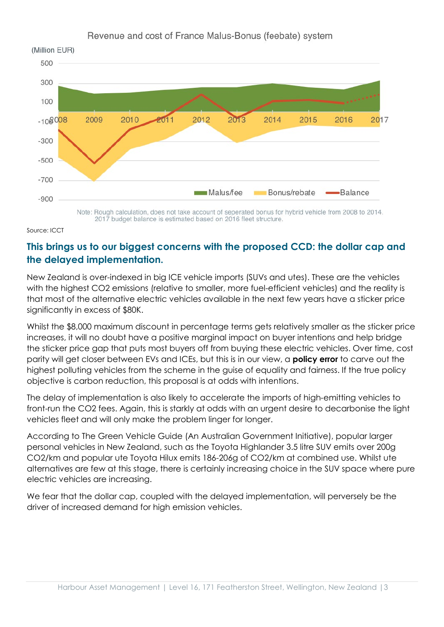

# Revenue and cost of France Malus-Bonus (feebate) system

Note: Rough calculation, does not take account of seperated bonus for hybrid vehicle from 2008 to 2014. 2017 budget balance is estimated based on 2016 fleet structure.

Source: ICCT

# **This brings us to our biggest concerns with the proposed CCD: the dollar cap and the delayed implementation.**

New Zealand is over-indexed in big ICE vehicle imports (SUVs and utes). These are the vehicles with the highest CO2 emissions (relative to smaller, more fuel-efficient vehicles) and the reality is that most of the alternative electric vehicles available in the next few years have a sticker price significantly in excess of \$80K.

Whilst the \$8,000 maximum discount in percentage terms gets relatively smaller as the sticker price increases, it will no doubt have a positive marginal impact on buyer intentions and help bridge the sticker price gap that puts most buyers off from buying these electric vehicles. Over time, cost parity will get closer between EVs and ICEs, but this is in our view, a **policy error** to carve out the highest polluting vehicles from the scheme in the guise of equality and fairness. If the true policy objective is carbon reduction, this proposal is at odds with intentions.

The delay of implementation is also likely to accelerate the imports of high-emitting vehicles to front-run the CO2 fees. Again, this is starkly at odds with an urgent desire to decarbonise the light vehicles fleet and will only make the problem linger for longer.

According to The Green Vehicle Guide (An Australian Government Initiative), popular larger personal vehicles in New Zealand, such as the Toyota Highlander 3.5 litre SUV emits over 200g CO2/km and popular ute Toyota Hilux emits 186-206g of CO2/km at combined use. Whilst ute alternatives are few at this stage, there is certainly increasing choice in the SUV space where pure electric vehicles are increasing.

We fear that the dollar cap, coupled with the delayed implementation, will perversely be the driver of increased demand for high emission vehicles.